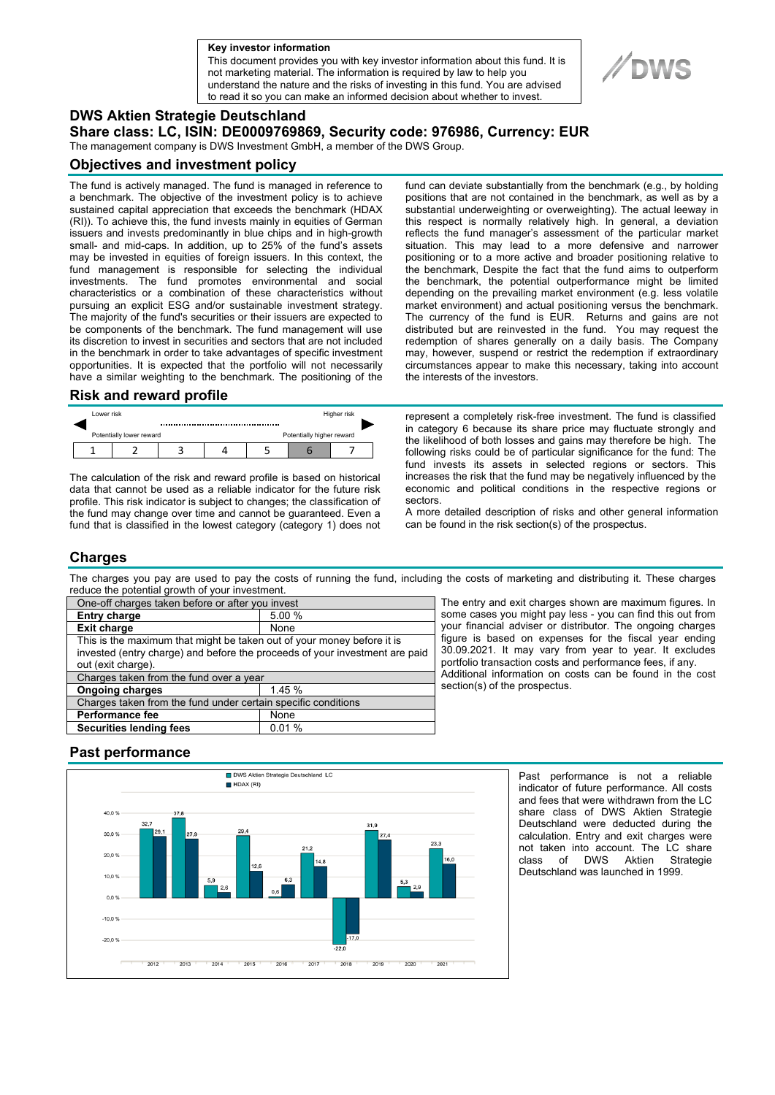**a Key investor information**

This document provides you with key investor information about this fund. It is not marketing material. The information is required by law to help you understand the nature and the risks of investing in this fund. You are advised to read it so you can make an informed decision about whether to invest.

# **DWS Aktien Strategie Deutschland**

**Share class: LC, ISIN: DE0009769869, Security code: 976986, Currency: EUR** 

The management company is DWS Investment GmbH, a member of the DWS Group.

### **Objectives and investment policy**

The fund is actively managed. The fund is managed in reference to a benchmark. The objective of the investment policy is to achieve sustained capital appreciation that exceeds the benchmark (HDAX (RI)). To achieve this, the fund invests mainly in equities of German issuers and invests predominantly in blue chips and in high-growth small- and mid-caps. In addition, up to 25% of the fund's assets may be invested in equities of foreign issuers. In this context, the fund management is responsible for selecting the individual investments. The fund promotes environmental and social characteristics or a combination of these characteristics without pursuing an explicit ESG and/or sustainable investment strategy. The majority of the fund's securities or their issuers are expected to be components of the benchmark. The fund management will use its discretion to invest in securities and sectors that are not included in the benchmark in order to take advantages of specific investment opportunities. It is expected that the portfolio will not necessarily have a similar weighting to the benchmark. The positioning of the

#### **Risk and reward profile**

| Lower risk |                          |  | Higher risk |                           |  |  |  |
|------------|--------------------------|--|-------------|---------------------------|--|--|--|
|            | Potentially lower reward |  |             | Potentially higher reward |  |  |  |
|            |                          |  |             |                           |  |  |  |

The calculation of the risk and reward profile is based on historical data that cannot be used as a reliable indicator for the future risk profile. This risk indicator is subject to changes; the classification of the fund may change over time and cannot be guaranteed. Even a fund that is classified in the lowest category (category 1) does not

fund can deviate substantially from the benchmark (e.g., by holding positions that are not contained in the benchmark, as well as by a substantial underweighting or overweighting). The actual leeway in this respect is normally relatively high. In general, a deviation reflects the fund manager's assessment of the particular market situation. This may lead to a more defensive and narrower positioning or to a more active and broader positioning relative to the benchmark, Despite the fact that the fund aims to outperform the benchmark, the potential outperformance might be limited depending on the prevailing market environment (e.g. less volatile market environment) and actual positioning versus the benchmark. The currency of the fund is EUR. Returns and gains are not distributed but are reinvested in the fund. You may request the redemption of shares generally on a daily basis. The Company may, however, suspend or restrict the redemption if extraordinary circumstances appear to make this necessary, taking into account the interests of the investors.

represent a completely risk-free investment. The fund is classified in category 6 because its share price may fluctuate strongly and the likelihood of both losses and gains may therefore be high. The following risks could be of particular significance for the fund: The fund invests its assets in selected regions or sectors. This increases the risk that the fund may be negatively influenced by the economic and political conditions in the respective regions or sectors.

A more detailed description of risks and other general information can be found in the risk section(s) of the prospectus.

## **Charges**

The charges you pay are used to pay the costs of running the fund, including the costs of marketing and distributing it. These charges reduce the potential growth of your investment.

| One-off charges taken before or after you invest                            |        |  |  |  |  |
|-----------------------------------------------------------------------------|--------|--|--|--|--|
| <b>Entry charge</b>                                                         | 5.00 % |  |  |  |  |
| <b>Exit charge</b>                                                          | None   |  |  |  |  |
| This is the maximum that might be taken out of your money before it is      |        |  |  |  |  |
| invested (entry charge) and before the proceeds of your investment are paid |        |  |  |  |  |
| out (exit charge).                                                          |        |  |  |  |  |
| Charges taken from the fund over a year                                     |        |  |  |  |  |
| <b>Ongoing charges</b>                                                      | 1.45%  |  |  |  |  |
| Charges taken from the fund under certain specific conditions               |        |  |  |  |  |
| Performance fee                                                             | None   |  |  |  |  |
| <b>Securities lending fees</b>                                              | 0.01%  |  |  |  |  |

The entry and exit charges shown are maximum figures. In some cases you might pay less - you can find this out from your financial adviser or distributor. The ongoing charges figure is based on expenses for the fiscal year ending 30.09.2021. It may vary from year to year. It excludes portfolio transaction costs and performance fees, if any. Additional information on costs can be found in the cost section(s) of the prospectus.

## **Past performance**



Past performance is not a reliable indicator of future performance. All costs and fees that were withdrawn from the LC share class of DWS Aktien Strategie Deutschland were deducted during the calculation. Entry and exit charges were not taken into account. The LC share class of DWS Aktien Strategie Deutschland was launched in 1999.